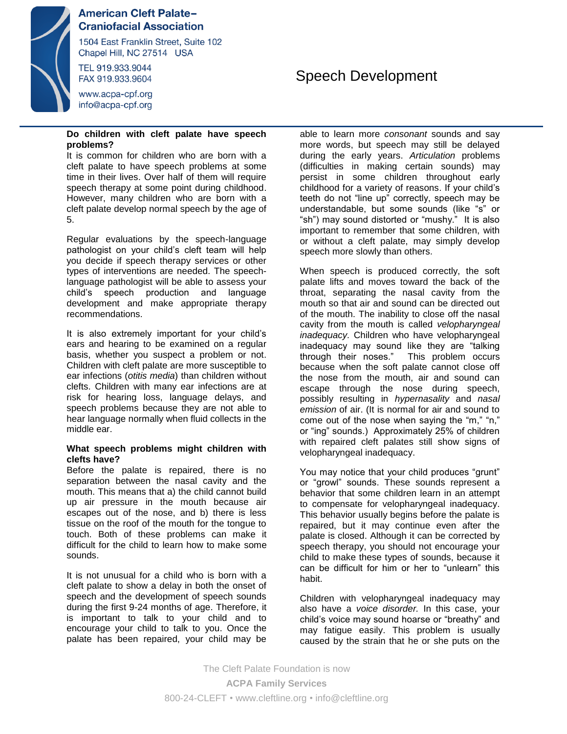

# **American Cleft Palate-Craniofacial Association**

1504 East Franklin Street, Suite 102 Chapel Hill, NC 27514 USA

TEL 919.933.9044 FAX 919.933.9604

www.acpa-cpf.org info@acpa-cpf.org

### **Do children with cleft palate have speech problems?**

It is common for children who are born with a cleft palate to have speech problems at some time in their lives. Over half of them will require speech therapy at some point during childhood. However, many children who are born with a cleft palate develop normal speech by the age of 5.

Regular evaluations by the speech-language pathologist on your child's cleft team will help you decide if speech therapy services or other types of interventions are needed. The speechlanguage pathologist will be able to assess your child's speech production and language development and make appropriate therapy recommendations.

It is also extremely important for your child's ears and hearing to be examined on a regular basis, whether you suspect a problem or not. Children with cleft palate are more susceptible to ear infections (*otitis media*) than children without clefts. Children with many ear infections are at risk for hearing loss, language delays, and speech problems because they are not able to hear language normally when fluid collects in the middle ear.

### **What speech problems might children with clefts have?**

Before the palate is repaired, there is no separation between the nasal cavity and the mouth. This means that a) the child cannot build up air pressure in the mouth because air escapes out of the nose, and b) there is less tissue on the roof of the mouth for the tongue to touch. Both of these problems can make it difficult for the child to learn how to make some sounds.

It is not unusual for a child who is born with a cleft palate to show a delay in both the onset of speech and the development of speech sounds during the first 9-24 months of age. Therefore, it is important to talk to your child and to encourage your child to talk to you. Once the palate has been repaired, your child may be

# Speech Development

able to learn more *consonant* sounds and say more words, but speech may still be delayed during the early years. *Articulation* problems (difficulties in making certain sounds) may persist in some children throughout early childhood for a variety of reasons. If your child's teeth do not "line up" correctly, speech may be understandable, but some sounds (like "s" or "sh") may sound distorted or "mushy." It is also important to remember that some children, with or without a cleft palate, may simply develop speech more slowly than others.

When speech is produced correctly, the soft palate lifts and moves toward the back of the throat, separating the nasal cavity from the mouth so that air and sound can be directed out of the mouth. The inability to close off the nasal cavity from the mouth is called *velopharyngeal inadequacy.* Children who have velopharyngeal inadequacy may sound like they are "talking through their noses." This problem occurs because when the soft palate cannot close off the nose from the mouth, air and sound can escape through the nose during speech, possibly resulting in *hypernasality* and *nasal emission* of air. (It is normal for air and sound to come out of the nose when saying the "m," "n," or "ing" sounds.) Approximately 25% of children with repaired cleft palates still show signs of velopharyngeal inadequacy.

You may notice that your child produces "grunt" or "growl" sounds. These sounds represent a behavior that some children learn in an attempt to compensate for velopharyngeal inadequacy. This behavior usually begins before the palate is repaired, but it may continue even after the palate is closed. Although it can be corrected by speech therapy, you should not encourage your child to make these types of sounds, because it can be difficult for him or her to "unlearn" this habit.

Children with velopharyngeal inadequacy may also have a *voice disorder.* In this case, your child's voice may sound hoarse or "breathy" and may fatigue easily. This problem is usually caused by the strain that he or she puts on the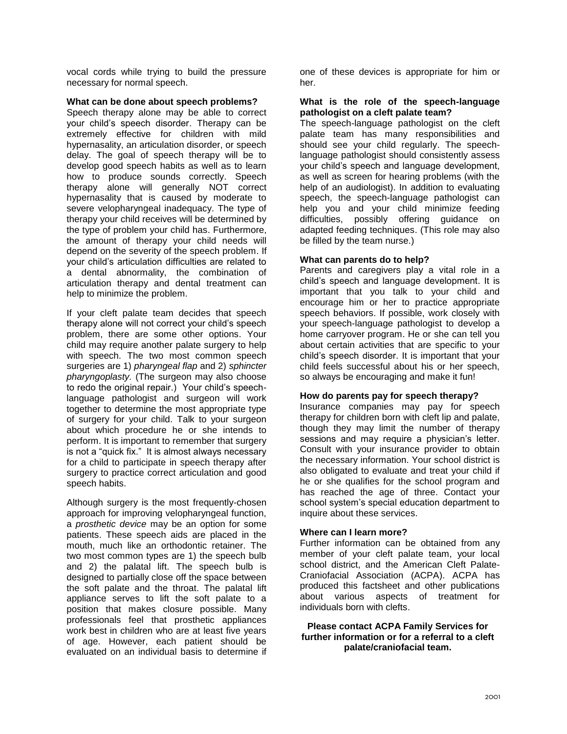vocal cords while trying to build the pressure necessary for normal speech.

### **What can be done about speech problems?**

Speech therapy alone may be able to correct your child's speech disorder. Therapy can be extremely effective for children with mild hypernasality, an articulation disorder, or speech delay. The goal of speech therapy will be to develop good speech habits as well as to learn how to produce sounds correctly. Speech therapy alone will generally NOT correct hypernasality that is caused by moderate to severe velopharyngeal inadequacy. The type of therapy your child receives will be determined by the type of problem your child has. Furthermore, the amount of therapy your child needs will depend on the severity of the speech problem. If your child's articulation difficulties are related to a dental abnormality, the combination of articulation therapy and dental treatment can help to minimize the problem.

If your cleft palate team decides that speech therapy alone will not correct your child's speech problem, there are some other options. Your child may require another palate surgery to help with speech. The two most common speech surgeries are 1) *pharyngeal flap* and 2) *sphincter pharyngoplasty.* (The surgeon may also choose to redo the original repair.) Your child's speechlanguage pathologist and surgeon will work together to determine the most appropriate type of surgery for your child. Talk to your surgeon about which procedure he or she intends to perform. It is important to remember that surgery is not a "quick fix." It is almost always necessary for a child to participate in speech therapy after surgery to practice correct articulation and good speech habits.

Although surgery is the most frequently-chosen approach for improving velopharyngeal function, a *prosthetic device* may be an option for some patients. These speech aids are placed in the mouth, much like an orthodontic retainer. The two most common types are 1) the speech bulb and 2) the palatal lift. The speech bulb is designed to partially close off the space between the soft palate and the throat. The palatal lift appliance serves to lift the soft palate to a position that makes closure possible. Many professionals feel that prosthetic appliances work best in children who are at least five years of age. However, each patient should be evaluated on an individual basis to determine if

one of these devices is appropriate for him or her.

## **What is the role of the speech-language pathologist on a cleft palate team?**

The speech-language pathologist on the cleft palate team has many responsibilities and should see your child regularly. The speechlanguage pathologist should consistently assess your child's speech and language development, as well as screen for hearing problems (with the help of an audiologist). In addition to evaluating speech, the speech-language pathologist can help you and your child minimize feeding difficulties, possibly offering guidance on adapted feeding techniques. (This role may also be filled by the team nurse.)

## **What can parents do to help?**

Parents and caregivers play a vital role in a child's speech and language development. It is important that you talk to your child and encourage him or her to practice appropriate speech behaviors. If possible, work closely with your speech-language pathologist to develop a home carryover program. He or she can tell you about certain activities that are specific to your child's speech disorder. It is important that your child feels successful about his or her speech, so always be encouraging and make it fun!

### **How do parents pay for speech therapy?**

Insurance companies may pay for speech therapy for children born with cleft lip and palate, though they may limit the number of therapy sessions and may require a physician's letter. Consult with your insurance provider to obtain the necessary information. Your school district is also obligated to evaluate and treat your child if he or she qualifies for the school program and has reached the age of three. Contact your school system's special education department to inquire about these services.

# **Where can I learn more?**

Further information can be obtained from any member of your cleft palate team, your local school district, and the American Cleft Palate-Craniofacial Association (ACPA). ACPA has produced this factsheet and other publications about various aspects of treatment for individuals born with clefts.

**Please contact ACPA Family Services for further information or for a referral to a cleft palate/craniofacial team.**